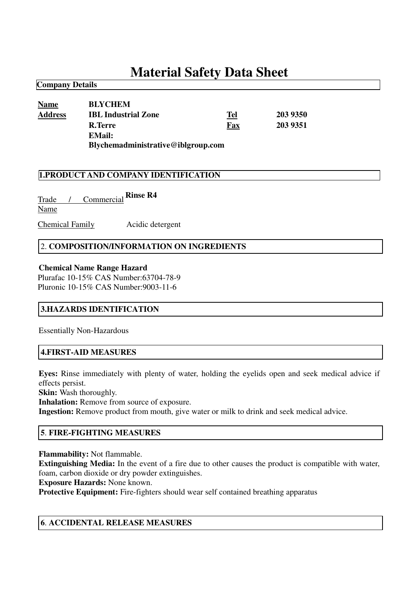# **Material Safety Data Sheet**

# **Name BLYCHEM Address IBL Industrial Zone Tel 203 9350 R.Terre Fax 203 9351 EMail: Blychemadministrative@iblgroup.com**

#### **1.PRODUCT AND COMPANY IDENTIFICATION**

Trade / Commercial **Rinse R4**Name Chemical Family Acidic detergent

**Company Details**

# 2. **COMPOSITION/INFORMATION ON INGREDIENTS**

#### **Chemical Name Range Hazard**

Plurafac 10-15% CAS Number:63704-78-9 Pluronic 10-15% CAS Number:9003-11-6

# **3.HAZARDS IDENTIFICATION**

Essentially Non-Hazardous

#### **4.FIRST-AID MEASURES**

**Eyes:** Rinse immediately with plenty of water, holding the eyelids open and seek medical advice if effects persist.

**Skin:** Wash thoroughly.

**Inhalation:** Remove from source of exposure.

**Ingestion:** Remove product from mouth, give water or milk to drink and seek medical advice.

# **5**. **FIRE-FIGHTING MEASURES**

**Flammability:** Not flammable.

**Extinguishing Media:** In the event of a fire due to other causes the product is compatible with water, foam, carbon dioxide or dry powder extinguishes.

**Exposure Hazards:** None known.

**Protective Equipment:** Fire-fighters should wear self contained breathing apparatus

# **6**. **ACCIDENTAL RELEASE MEASURES**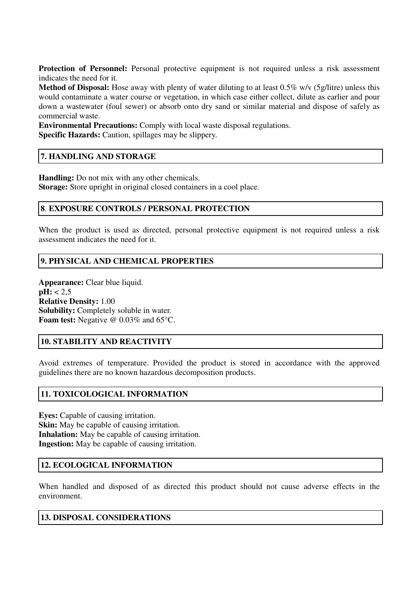**Protection of Personnel:** Personal protective equipment is not required unless a risk assessment indicates the need for it.

**Method of Disposal:** Hose away with plenty of water diluting to at least 0.5% w/v (5g/litre) unless this would contaminate a water course or vegetation, in which case either collect, dilute as earlier and pour down a wastewater (foul sewer) or absorb onto dry sand or similar material and dispose of safely as commercial waste.

**Environmental Precautions:** Comply with local waste disposal regulations. **Specific Hazards:** Caution, spillages may be slippery.

# **7. HANDLING AND STORAGE**

**Handling:** Do not mix with any other chemicals.

**Storage:** Store upright in original closed containers in a cool place.

#### **8**. **EXPOSURE CONTROLS / PERSONAL PROTECTION**

When the product is used as directed, personal protective equipment is not required unless a risk assessment indicates the need for it.

# **9. PHYSICAL AND CHEMICAL PROPERTIES**

**Appearance:** Clear blue liquid.  $pH: < 2.5$ **Relative Density:** 1.00 **Solubility:** Completely soluble in water. **Foam test:** Negative @ 0.03% and 65°C.

# **10. STABILITY AND REACTIVITY**

Avoid extremes of temperature. Provided the product is stored in accordance with the approved guidelines there are no known hazardous decomposition products.

# **11. TOXICOLOGICAL INFORMATION**

**Eyes:** Capable of causing irritation. **Skin:** May be capable of causing irritation. **Inhalation:** May be capable of causing irritation. **Ingestion:** May be capable of causing irritation.

#### **12. ECOLOGICAL INFORMATION**

When handled and disposed of as directed this product should not cause adverse effects in the environment.

#### **13. DISPOSAL CONSIDERATIONS**